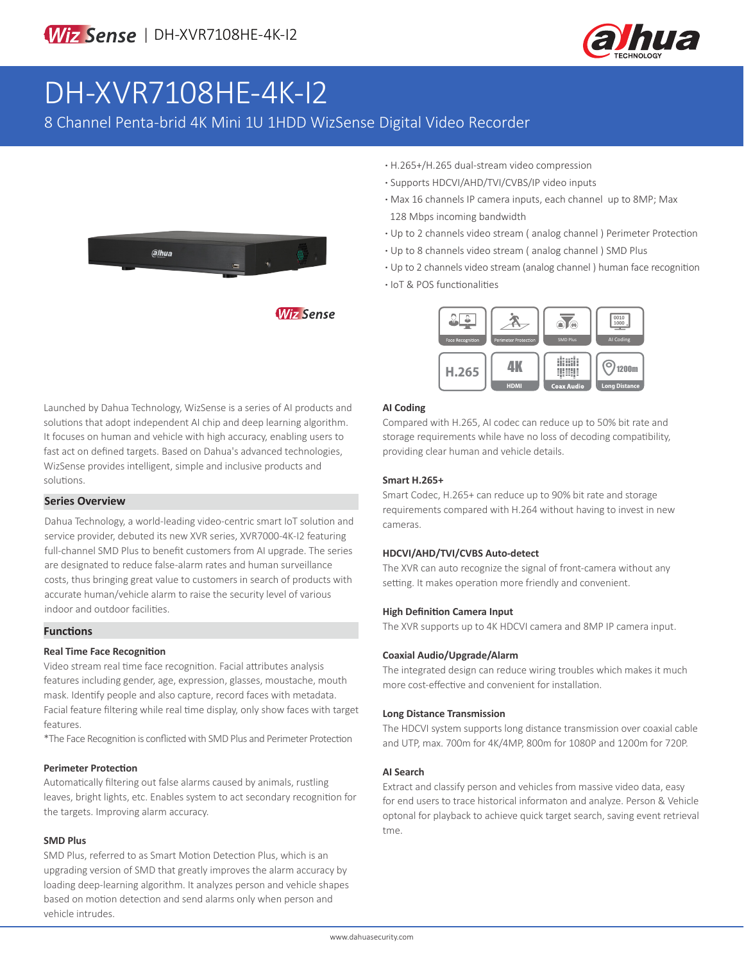

# DH-XVR7108HE-4K-I2

8 Channel Penta-brid 4K Mini 1U 1HDD WizSense Digital Video Recorder



- **·** H.265+/H.265 dual-stream video compression
- **·** Supports HDCVI/AHD/TVI/CVBS/IP video inputs
- **·** Max 16 channels IP camera inputs, each channel up to 8MP; Max 128 Mbps incoming bandwidth
- **·** Up to 2 channels video stream ( analog channel ) Perimeter Protection
- **·** Up to 8 channels video stream ( analog channel ) SMD Plus
- **·** Up to 2 channels video stream (analog channel ) human face recognition
- **·** IoT & POS functionalities



Launched by Dahua Technology, WizSense is a series of AI products and solutions that adopt independent AI chip and deep learning algorithm. It focuses on human and vehicle with high accuracy, enabling users to fast act on defined targets. Based on Dahua's advanced technologies, WizSense provides intelligent, simple and inclusive products and solutions.

#### **Series Overview**

Dahua Technology, a world-leading video-centric smart IoT solution and service provider, debuted its new XVR series, XVR7000-4K-I2 featuring full-channel SMD Plus to benefit customers from AI upgrade. The series are designated to reduce false-alarm rates and human surveillance costs, thus bringing great value to customers in search of products with accurate human/vehicle alarm to raise the security level of various indoor and outdoor facilities.

#### **Functions**

#### **Real Time Face Recognition**

Video stream real time face recognition. Facial attributes analysis features including gender, age, expression, glasses, moustache, mouth mask. Identify people and also capture, record faces with metadata. Facial feature filtering while real time display, only show faces with target features.

\*The Face Recognition is conflicted with SMD Plus and Perimeter Protection

#### **Perimeter Protection**

Automatically filtering out false alarms caused by animals, rustling leaves, bright lights, etc. Enables system to act secondary recognition for the targets. Improving alarm accuracy.

#### **SMD Plus**

SMD Plus, referred to as Smart Motion Detection Plus, which is an upgrading version of SMD that greatly improves the alarm accuracy by loading deep-learning algorithm. It analyzes person and vehicle shapes based on motion detection and send alarms only when person and vehicle intrudes.

#### **AI Coding**

Compared with H.265, AI codec can reduce up to 50% bit rate and storage requirements while have no loss of decoding compatibility, providing clear human and vehicle details.

#### **Smart H.265+**

Smart Codec, H.265+ can reduce up to 90% bit rate and storage requirements compared with H.264 without having to invest in new cameras.

#### **HDCVI/AHD/TVI/CVBS Auto-detect**

The XVR can auto recognize the signal of front-camera without any setting. It makes operation more friendly and convenient.

#### **High Definition Camera Input**

The XVR supports up to 4K HDCVI camera and 8MP IP camera input.

#### **Coaxial Audio/Upgrade/Alarm**

The integrated design can reduce wiring troubles which makes it much more cost-effective and convenient for installation.

#### **Long Distance Transmission**

The HDCVI system supports long distance transmission over coaxial cable and UTP, max. 700m for 4K/4MP, 800m for 1080P and 1200m for 720P.

#### **AI Search**

Extract and classify person and vehicles from massive video data, easy for end users to trace historical informaton and analyze. Person & Vehicle optonal for playback to achieve quick target search, saving event retrieval tme.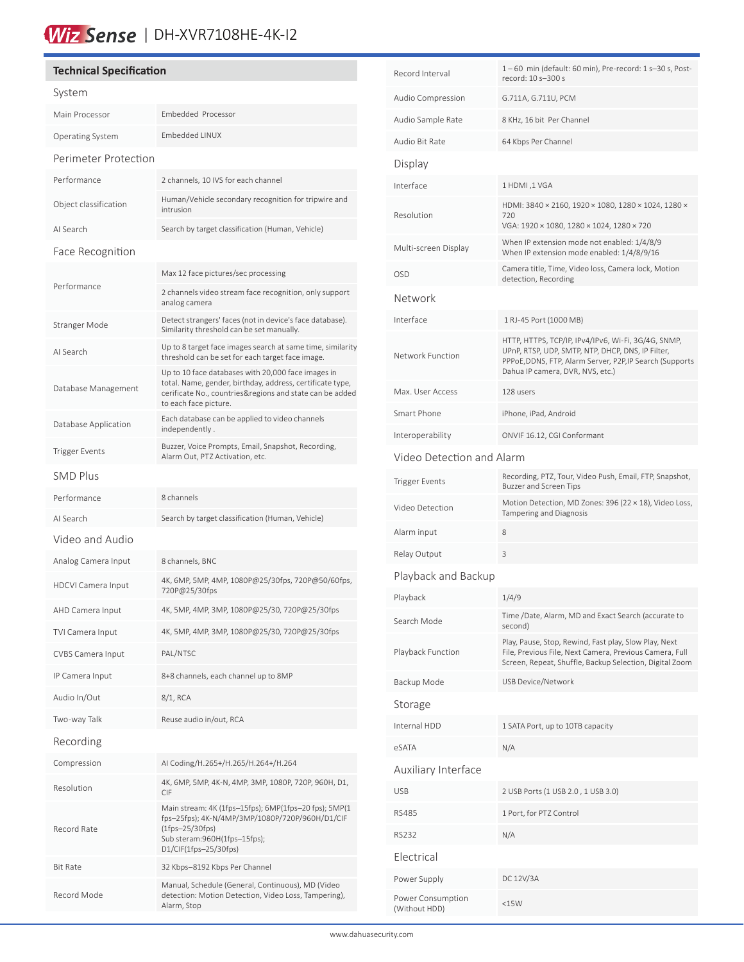# Wiz Sense | DH-XVR7108HE-4K-I2

## **Technical Specification** System Main Processor Embedded Processor Operating System Embedded LINUX Perimeter Protection Performance 2 channels, 10 IVS for each channel Object classification Human/Vehicle secondary recognition for tripwire and intrusion AI Search Search by target classification (Human, Vehicle) Face Recognition Performance Max 12 face pictures/sec processing 2 channels video stream face recognition, only support analog camera Stranger Mode Detect strangers' faces (not in device's face database). Similarity threshold can be set manually. AI Search Up to 8 target face images search at same time, similarity threshold can be set for each target face image. Database Management Up to 10 face databases with 20,000 face images in total. Name, gender, birthday, address, certificate type, cerificate No., countries&regions and state can be added to each face picture. Database Application Each database can be applied to video channels independently . Trigger Events<br>Alarm Out, BTZ Astivation ata Alarm Out, PTZ Activation, etc. SMD Plus Performance 8 channels AI Search Search by target classification (Human, Vehicle) Video and Audio Analog Camera Input 8 channels, BNC HDCVI Camera Input 4K, 6MP, 5MP, 4MP, 1080P@25/30fps, 720P@50/60fps, 720P@25/30fps AHD Camera Input 4K, 5MP, 4MP, 3MP, 1080P@25/30, 720P@25/30fps TVI Camera Input 4K, 5MP, 4MP, 3MP, 1080P@25/30, 720P@25/30fps CVBS Camera Input PAL/NTSC IP Camera Input 8+8 channels, each channel up to 8MP Audio In/Out 8/1, RCA Two-way Talk Reuse audio in/out, RCA Recording Compression AI Coding/H.265+/H.265/H.264+/H.264 Resolution 4K, 6MP, 5MP, 4K-N, 4MP, 3MP, 1080P, 720P, 960H, D1, CIF Record Rate Main stream: 4K (1fps–15fps); 6MP(1fps–20 fps); 5MP(1 fps–25fps); 4K-N/4MP/3MP/1080P/720P/960H/D1/CIF (1fps–25/30fps) Sub steram:960H(1fps–15fps); D1/CIF(1fps–25/30fps) Bit Rate 32 Kbps–8192 Kbps Per Channel Record Mode Manual, Schedule (General, Continuous), MD (Video detection: Motion Detection, Video Loss, Tampering), Alarm, Stop

| Record Interval                    | 1-60 min (default: 60 min), Pre-record: 1 s-30 s, Post-<br>record: 10 s-300 s                                                                                                                            |  |  |
|------------------------------------|----------------------------------------------------------------------------------------------------------------------------------------------------------------------------------------------------------|--|--|
| Audio Compression                  | G.711A, G.711U, PCM                                                                                                                                                                                      |  |  |
| Audio Sample Rate                  | 8 KHz, 16 bit Per Channel                                                                                                                                                                                |  |  |
| Audio Bit Rate                     | 64 Kbps Per Channel                                                                                                                                                                                      |  |  |
| Display                            |                                                                                                                                                                                                          |  |  |
| Interface                          | 1 HDMI, 1 VGA                                                                                                                                                                                            |  |  |
| Resolution                         | HDMI: 3840 × 2160, 1920 × 1080, 1280 × 1024, 1280 ×<br>720<br>VGA: 1920 × 1080, 1280 × 1024, 1280 × 720                                                                                                  |  |  |
| Multi-screen Display               | When IP extension mode not enabled: 1/4/8/9<br>When IP extension mode enabled: 1/4/8/9/16                                                                                                                |  |  |
| <b>OSD</b>                         | Camera title, Time, Video loss, Camera lock, Motion<br>detection, Recording                                                                                                                              |  |  |
| Network                            |                                                                                                                                                                                                          |  |  |
| Interface                          | 1 RJ-45 Port (1000 MB)                                                                                                                                                                                   |  |  |
| Network Function                   | HTTP, HTTPS, TCP/IP, IPv4/IPv6, Wi-Fi, 3G/4G, SNMP,<br>UPnP, RTSP, UDP, SMTP, NTP, DHCP, DNS, IP Filter,<br>PPPoE, DDNS, FTP, Alarm Server, P2P, IP Search (Supports<br>Dahua IP camera, DVR, NVS, etc.) |  |  |
| Max. User Access                   | 128 users                                                                                                                                                                                                |  |  |
| Smart Phone                        | iPhone, iPad, Android                                                                                                                                                                                    |  |  |
| Interoperability                   | ONVIF 16.12, CGI Conformant                                                                                                                                                                              |  |  |
| Video Detection and Alarm          |                                                                                                                                                                                                          |  |  |
| <b>Trigger Events</b>              | Recording, PTZ, Tour, Video Push, Email, FTP, Snapshot,<br>Buzzer and Screen Tips                                                                                                                        |  |  |
| Video Detection                    | Motion Detection, MD Zones: 396 (22 × 18), Video Loss,<br>Tampering and Diagnosis                                                                                                                        |  |  |
| Alarm input                        | 8                                                                                                                                                                                                        |  |  |
| Relay Output                       | 3                                                                                                                                                                                                        |  |  |
| Playback and Backup                |                                                                                                                                                                                                          |  |  |
| Playback                           | 1/4/9                                                                                                                                                                                                    |  |  |
| Search Mode                        | Time /Date, Alarm, MD and Exact Search (accurate to<br>second)                                                                                                                                           |  |  |
| Playback Function                  | Play, Pause, Stop, Rewind, Fast play, Slow Play, Next<br>File, Previous File, Next Camera, Previous Camera, Full<br>Screen, Repeat, Shuffle, Backup Selection, Digital Zoom                              |  |  |
| Backup Mode                        | <b>USB Device/Network</b>                                                                                                                                                                                |  |  |
| Storage                            |                                                                                                                                                                                                          |  |  |
| Internal HDD                       | 1 SATA Port, up to 10TB capacity                                                                                                                                                                         |  |  |
| eSATA                              | N/A                                                                                                                                                                                                      |  |  |
| Auxiliary Interface                |                                                                                                                                                                                                          |  |  |
| <b>USB</b>                         | 2 USB Ports (1 USB 2.0 , 1 USB 3.0)                                                                                                                                                                      |  |  |
| <b>RS485</b>                       | 1 Port, for PTZ Control                                                                                                                                                                                  |  |  |
| RS232                              | N/A                                                                                                                                                                                                      |  |  |
| Electrical                         |                                                                                                                                                                                                          |  |  |
| Power Supply                       | DC 12V/3A                                                                                                                                                                                                |  |  |
| Power Consumption<br>(Without HDD) | $<$ 15 $W$                                                                                                                                                                                               |  |  |